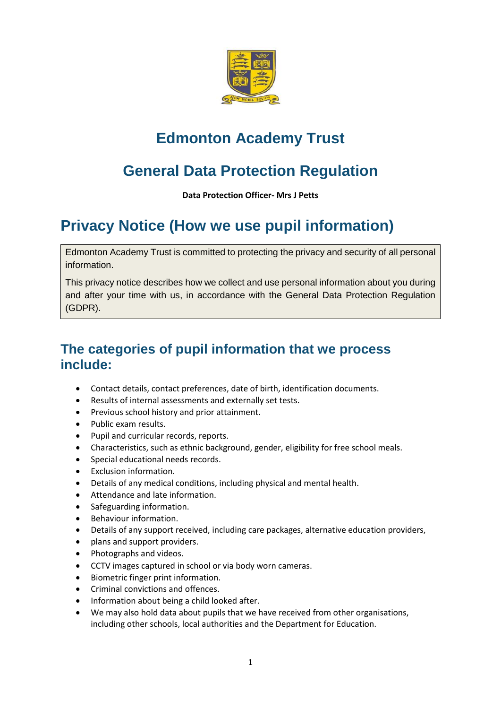

# **Edmonton Academy Trust**

# **General Data Protection Regulation**

**Data Protection Officer- Mrs J Petts**

# **Privacy Notice (How we use pupil information)**

Edmonton Academy Trust is committed to protecting the privacy and security of all personal information.

This privacy notice describes how we collect and use personal information about you during and after your time with us, in accordance with the General Data Protection Regulation (GDPR).

## **The categories of pupil information that we process include:**

- Contact details, contact preferences, date of birth, identification documents.
- Results of internal assessments and externally set tests.
- Previous school history and prior attainment.
- Public exam results.
- Pupil and curricular records, reports.
- Characteristics, such as ethnic background, gender, eligibility for free school meals.
- Special educational needs records.
- Exclusion information.
- Details of any medical conditions, including physical and mental health.
- Attendance and late information.
- Safeguarding information.
- **•** Behaviour information.
- Details of any support received, including care packages, alternative education providers,
- plans and support providers.
- Photographs and videos.
- CCTV images captured in school or via body worn cameras.
- Biometric finger print information.
- Criminal convictions and offences.
- Information about being a child looked after.
- We may also hold data about pupils that we have received from other organisations, including other schools, local authorities and the Department for Education.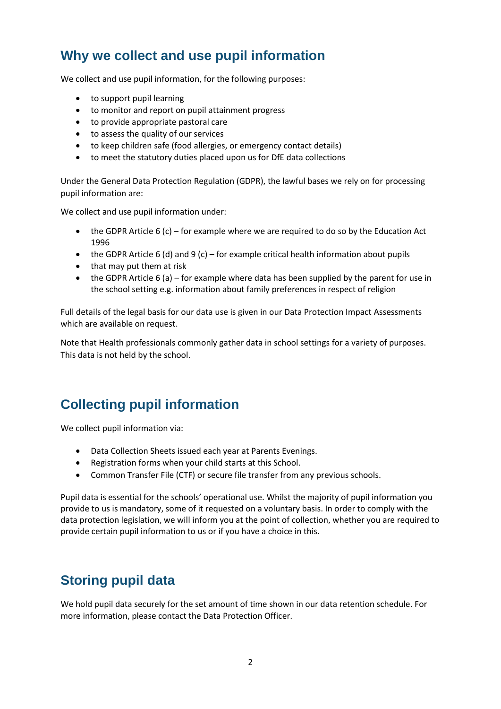## **Why we collect and use pupil information**

We collect and use pupil information, for the following purposes:

- to support pupil learning
- to monitor and report on pupil attainment progress
- to provide appropriate pastoral care
- to assess the quality of our services
- to keep children safe (food allergies, or emergency contact details)
- to meet the statutory duties placed upon us for DfE data collections

Under the General Data Protection Regulation (GDPR), the lawful bases we rely on for processing pupil information are:

We collect and use pupil information under:

- the GDPR Article 6 (c) for example where we are required to do so by the Education Act 1996
- the GDPR Article 6 (d) and 9 (c) for example critical health information about pupils
- that may put them at risk
- the GDPR Article 6 (a) for example where data has been supplied by the parent for use in the school setting e.g. information about family preferences in respect of religion

Full details of the legal basis for our data use is given in our Data Protection Impact Assessments which are available on request.

Note that Health professionals commonly gather data in school settings for a variety of purposes. This data is not held by the school.

## **Collecting pupil information**

We collect pupil information via:

- Data Collection Sheets issued each year at Parents Evenings.
- Registration forms when your child starts at this School.
- Common Transfer File (CTF) or secure file transfer from any previous schools.

Pupil data is essential for the schools' operational use. Whilst the majority of pupil information you provide to us is mandatory, some of it requested on a voluntary basis. In order to comply with the data protection legislation, we will inform you at the point of collection, whether you are required to provide certain pupil information to us or if you have a choice in this.

## **Storing pupil data**

We hold pupil data securely for the set amount of time shown in our data retention schedule. For more information, please contact the Data Protection Officer.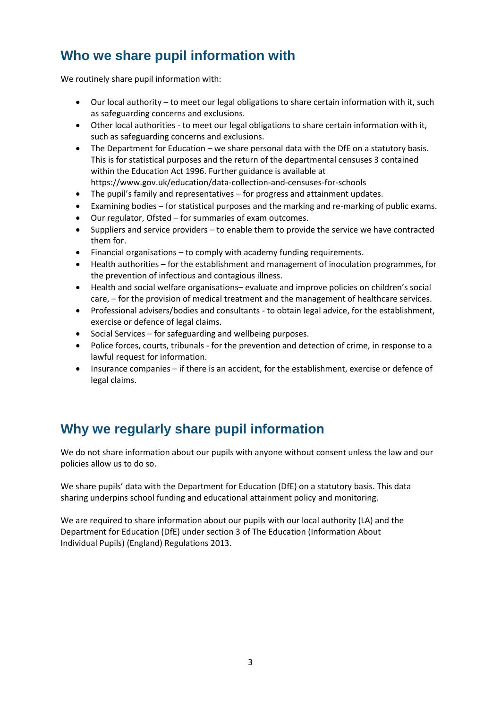## **Who we share pupil information with**

We routinely share pupil information with:

- Our local authority to meet our legal obligations to share certain information with it, such as safeguarding concerns and exclusions.
- Other local authorities to meet our legal obligations to share certain information with it, such as safeguarding concerns and exclusions.
- The Department for Education we share personal data with the DfE on a statutory basis. This is for statistical purposes and the return of the departmental censuses 3 contained within the Education Act 1996. Further guidance is available at <https://www.gov.uk/education/data-collection-and-censuses-for-schools>
- The pupil's family and representatives for progress and attainment updates.
- Examining bodies for statistical purposes and the marking and re-marking of public exams.
- Our regulator, Ofsted for summaries of exam outcomes.
- Suppliers and service providers to enable them to provide the service we have contracted them for.
- Financial organisations to comply with academy funding requirements.
- Health authorities for the establishment and management of inoculation programmes, for the prevention of infectious and contagious illness.
- Health and social welfare organisations– evaluate and improve policies on children's social care, – for the provision of medical treatment and the management of healthcare services.
- Professional advisers/bodies and consultants to obtain legal advice, for the establishment, exercise or defence of legal claims.
- Social Services for safeguarding and wellbeing purposes.
- Police forces, courts, tribunals for the prevention and detection of crime, in response to a lawful request for information.
- Insurance companies if there is an accident, for the establishment, exercise or defence of legal claims.

## **Why we regularly share pupil information**

We do not share information about our pupils with anyone without consent unless the law and our policies allow us to do so.

We share pupils' data with the Department for Education (DfE) on a statutory basis. This data sharing underpins school funding and educational attainment policy and monitoring.

We are required to share information about our pupils with our local authority (LA) and the Department for Education (DfE) under section 3 of The Education (Information About Individual Pupils) (England) Regulations 2013.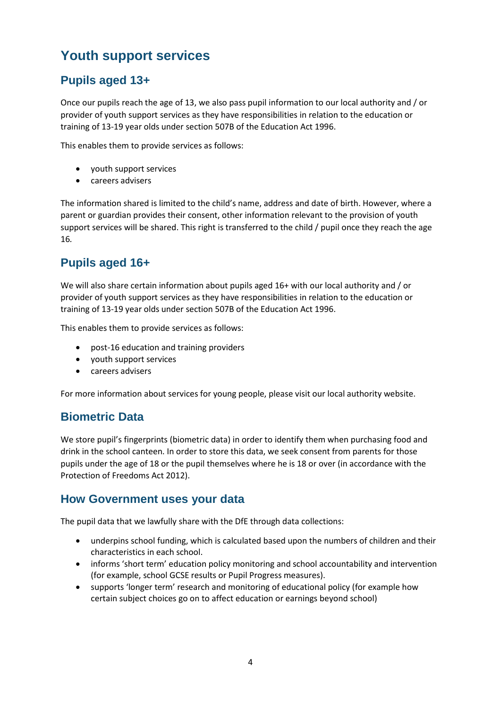# **Youth support services**

### **Pupils aged 13+**

Once our pupils reach the age of 13, we also pass pupil information to our local authority and / or provider of youth support services as they have responsibilities in relation to the education or training of 13-19 year olds under section 507B of the Education Act 1996.

This enables them to provide services as follows:

- youth support services
- careers advisers

The information shared is limited to the child's name, address and date of birth. However, where a parent or guardian provides their consent, other information relevant to the provision of youth support services will be shared. This right is transferred to the child / pupil once they reach the age 16*.*

### **Pupils aged 16+**

We will also share certain information about pupils aged 16+ with our local authority and / or provider of youth support services as they have responsibilities in relation to the education or training of 13-19 year olds under section 507B of the Education Act 1996.

This enables them to provide services as follows:

- post-16 education and training providers
- youth support services
- careers advisers

For more information about services for young people, please visit our local authority website.

#### **Biometric Data**

We store pupil's fingerprints (biometric data) in order to identify them when purchasing food and drink in the school canteen. In order to store this data, we seek consent from parents for those pupils under the age of 18 or the pupil themselves where he is 18 or over (in accordance with the Protection of Freedoms Act 2012).

#### **How Government uses your data**

The pupil data that we lawfully share with the DfE through data collections:

- underpins school funding, which is calculated based upon the numbers of children and their characteristics in each school.
- informs 'short term' education policy monitoring and school accountability and intervention (for example, school GCSE results or Pupil Progress measures).
- supports 'longer term' research and monitoring of educational policy (for example how certain subject choices go on to affect education or earnings beyond school)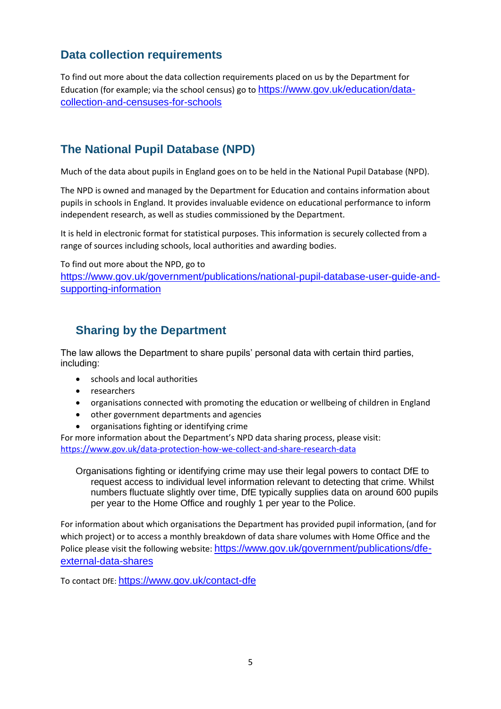#### **Data collection requirements**

To find out more about the data collection requirements placed on us by the Department for Education (for example; via the school census) go to [https://www.gov.uk/education/data](https://www.gov.uk/education/data-collection-and-censuses-for-schools)[collection-and-censuses-for-schools](https://www.gov.uk/education/data-collection-and-censuses-for-schools)

#### **The National Pupil Database (NPD)**

Much of the data about pupils in England goes on to be held in the National Pupil Database (NPD).

The NPD is owned and managed by the Department for Education and contains information about pupils in schools in England. It provides invaluable evidence on educational performance to inform independent research, as well as studies commissioned by the Department.

It is held in electronic format for statistical purposes. This information is securely collected from a range of sources including schools, local authorities and awarding bodies.

To find out more about the NPD, go to

[https://www.gov.uk/government/publications/national-pupil-database-user-guide-and](https://www.gov.uk/government/publications/national-pupil-database-user-guide-and-supporting-information)[supporting-information](https://www.gov.uk/government/publications/national-pupil-database-user-guide-and-supporting-information)

#### **Sharing by the Department**

The law allows the Department to share pupils' personal data with certain third parties, including:

- schools and local authorities
- researchers
- organisations connected with promoting the education or wellbeing of children in England
- other government departments and agencies
- organisations fighting or identifying crime

For more information about the Department's NPD data sharing process, please visit: <https://www.gov.uk/data-protection-how-we-collect-and-share-research-data>

Organisations fighting or identifying crime may use their legal powers to contact DfE to request access to individual level information relevant to detecting that crime. Whilst numbers fluctuate slightly over time, DfE typically supplies data on around 600 pupils per year to the Home Office and roughly 1 per year to the Police.

For information about which organisations the Department has provided pupil information, (and for which project) or to access a monthly breakdown of data share volumes with Home Office and the Police please visit the following website: [https://www.gov.uk/government/publications/dfe](https://www.gov.uk/government/publications/dfe-external-data-shares)[external-data-shares](https://www.gov.uk/government/publications/dfe-external-data-shares)

To contact DfE: <https://www.gov.uk/contact-dfe>